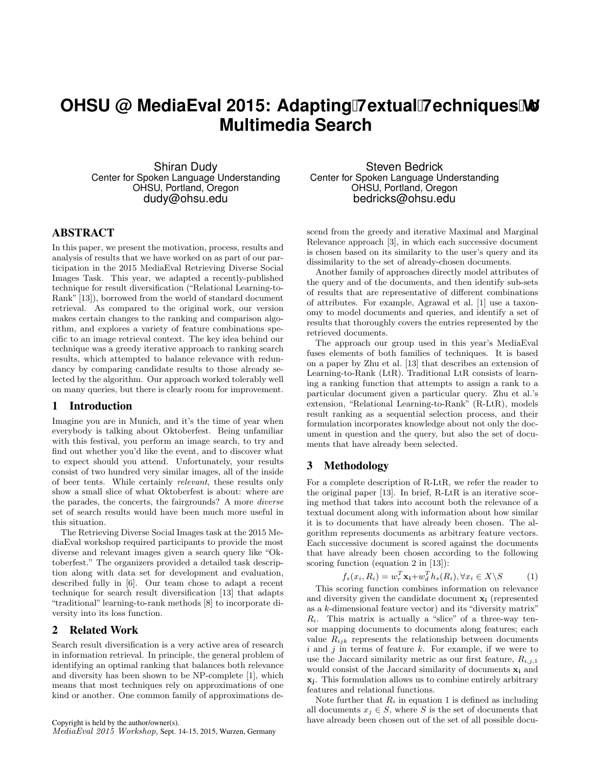# **OHSU @ MediaEval 2015: Adapting Hextual Hechniques books Multimedia Search**

Shiran Dudy Center for Spoken Language Understanding OHSU, Portland, Oregon dudy@ohsu.edu

### ABSTRACT

In this paper, we present the motivation, process, results and analysis of results that we have worked on as part of our participation in the 2015 MediaEval Retrieving Diverse Social Images Task. This year, we adapted a recently-published technique for result diversification ("Relational Learning-to-Rank" [13]), borrowed from the world of standard document retrieval. As compared to the original work, our version makes certain changes to the ranking and comparison algorithm, and explores a variety of feature combinations specific to an image retrieval context. The key idea behind our technique was a greedy iterative approach to ranking search results, which attempted to balance relevance with redundancy by comparing candidate results to those already selected by the algorithm. Our approach worked tolerably well on many queries, but there is clearly room for improvement.

#### 1 Introduction

Imagine you are in Munich, and it's the time of year when everybody is talking about Oktoberfest. Being unfamiliar with this festival, you perform an image search, to try and find out whether you'd like the event, and to discover what to expect should you attend. Unfortunately, your results consist of two hundred very similar images, all of the inside of beer tents. While certainly relevant, these results only show a small slice of what Oktoberfest is about: where are the parades, the concerts, the fairgrounds? A more diverse set of search results would have been much more useful in this situation.

The Retrieving Diverse Social Images task at the 2015 MediaEval workshop required participants to provide the most diverse and relevant images given a search query like "Oktoberfest." The organizers provided a detailed task description along with data set for development and evaluation, described fully in [6]. Our team chose to adapt a recent technique for search result diversification [13] that adapts "traditional" learning-to-rank methods [8] to incorporate diversity into its loss function.

#### 2 Related Work

Search result diversification is a very active area of research in information retrieval. In principle, the general problem of identifying an optimal ranking that balances both relevance and diversity has been shown to be NP-complete [1], which means that most techniques rely on approximations of one kind or another. One common family of approximations de-

Steven Bedrick Center for Spoken Language Understanding OHSU, Portland, Oregon bedricks@ohsu.edu

scend from the greedy and iterative Maximal and Marginal Relevance approach [3], in which each successive document is chosen based on its similarity to the user's query and its dissimilarity to the set of already-chosen documents.

Another family of approaches directly model attributes of the query and of the documents, and then identify sub-sets of results that are representative of different combinations of attributes. For example, Agrawal et al. [1] use a taxonomy to model documents and queries, and identify a set of results that thoroughly covers the entries represented by the retrieved documents.

The approach our group used in this year's MediaEval fuses elements of both families of techniques. It is based on a paper by Zhu et al. [13] that describes an extension of Learning-to-Rank (LtR). Traditional LtR consists of learning a ranking function that attempts to assign a rank to a particular document given a particular query. Zhu et al.'s extension, "Relational Learning-to-Rank" (R-LtR), models result ranking as a sequential selection process, and their formulation incorporates knowledge about not only the document in question and the query, but also the set of documents that have already been selected.

## 3 Methodology

For a complete description of R-LtR, we refer the reader to the original paper [13]. In brief, R-LtR is an iterative scoring method that takes into account both the relevance of a textual document along with information about how similar it is to documents that have already been chosen. The algorithm represents documents as arbitrary feature vectors. Each successive document is scored against the documents that have already been chosen according to the following scoring function (equation 2 in [13]):

$$
f_s(x_i, R_i) = w_r^T \mathbf{x_i} + w_d^T h_s(R_i), \forall x_i \in X \backslash S \tag{1}
$$

This scoring function combines information on relevance and diversity given the candidate document x<sup>i</sup> (represented as a k-dimensional feature vector) and its "diversity matrix"  $R_i$ . This matrix is actually a "slice" of a three-way tensor mapping documents to documents along features; each value  $R_{ijk}$  represents the relationship between documents  $i$  and  $j$  in terms of feature  $k$ . For example, if we were to use the Jaccard similarity metric as our first feature,  $R_{i,j,1}$ would consist of the Jaccard similarity of documents  $x_i$  and xj. This formulation allows us to combine entirely arbitrary features and relational functions.

Note further that  $R_i$  in equation 1 is defined as including all documents  $x_j \in S$ , where S is the set of documents that have already been chosen out of the set of all possible docu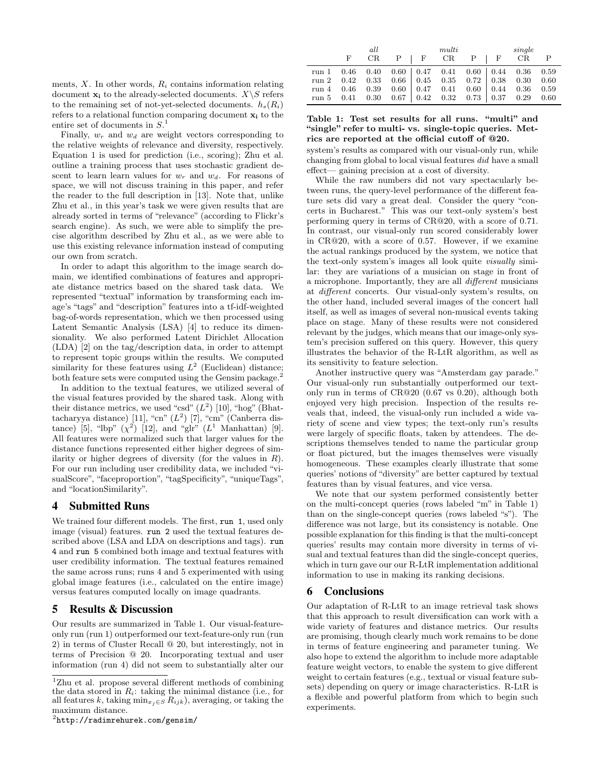ments,  $X$ . In other words,  $R_i$  contains information relating document  $\mathbf{x}_i$  to the already-selected documents.  $X \setminus S$  refers to the remaining set of not-yet-selected documents.  $h_s(R_i)$ refers to a relational function comparing document  $x_i$  to the entire set of documents in  $S<sup>1</sup>$ 

Finally,  $w_r$  and  $w_d$  are weight vectors corresponding to the relative weights of relevance and diversity, respectively. Equation 1 is used for prediction (i.e., scoring); Zhu et al. outline a training process that uses stochastic gradient descent to learn learn values for  $w_r$  and  $w_d$ . For reasons of space, we will not discuss training in this paper, and refer the reader to the full description in [13]. Note that, unlike Zhu et al., in this year's task we were given results that are already sorted in terms of "relevance" (according to Flickr's search engine). As such, we were able to simplify the precise algorithm described by Zhu et al., as we were able to use this existing relevance information instead of computing our own from scratch.

In order to adapt this algorithm to the image search domain, we identified combinations of features and appropriate distance metrics based on the shared task data. We represented "textual" information by transforming each image's "tags" and "description" features into a tf-idf-weighted bag-of-words representation, which we then processed using Latent Semantic Analysis (LSA) [4] to reduce its dimensionality. We also performed Latent Dirichlet Allocation (LDA) [2] on the tag/description data, in order to attempt to represent topic groups within the results. We computed similarity for these features using  $L^2$  (Euclidean) distance; both feature sets were computed using the Gensim package.<sup>2</sup>

In addition to the textual features, we utilized several of the visual features provided by the shared task. Along with their distance metrics, we used "csd"  $(L^2)$  [10], "hog" (Bhattacharyya distance) [11], "cn"  $(L^2)$  [7], "cm" (Canberra distance) [5], "lbp"  $(\chi^2)$  [12], and "glr"  $(L^1$  Manhattan) [9]. All features were normalized such that larger values for the distance functions represented either higher degrees of similarity or higher degrees of diversity (for the values in  $R$ ). For our run including user credibility data, we included "visualScore", "faceproportion", "tagSpecificity", "uniqueTags", and "locationSimilarity".

## 4 Submitted Runs

We trained four different models. The first, run 1, used only image (visual) features. run 2 used the textual features described above (LSA and LDA on descriptions and tags). run 4 and run 5 combined both image and textual features with user credibility information. The textual features remained the same across runs; runs 4 and 5 experimented with using global image features (i.e., calculated on the entire image) versus features computed locally on image quadrants.

#### 5 Results & Discussion

Our results are summarized in Table 1. Our visual-featureonly run (run 1) outperformed our text-feature-only run (run 2) in terms of Cluster Recall @ 20, but interestingly, not in terms of Precision @ 20. Incorporating textual and user information (run 4) did not seem to substantially alter our

 $^{2}$ http://radimrehurek.com/gensim/

|                                                                                                                                                                                                                                                                    |  |  | all multi                            |  | single |  |
|--------------------------------------------------------------------------------------------------------------------------------------------------------------------------------------------------------------------------------------------------------------------|--|--|--------------------------------------|--|--------|--|
|                                                                                                                                                                                                                                                                    |  |  | F CR P $\vert$ F CR P $\vert$ F CR P |  |        |  |
| $\begin{tabular}{cccc cccc} run 1 & 0.46 & 0.40 & 0.60 & 0.47 & 0.41 & 0.60 & 0.44 & 0.36 & 0.59 \\ run 2 & 0.42 & 0.33 & 0.66 & 0.45 & 0.35 & 0.72 & 0.38 & 0.30 & 0.60 \\ run 4 & 0.46 & 0.39 & 0.60 & 0.47 & 0.41 & 0.60 & 0.44 & 0.36 & 0.59 \\ \end{tabular}$ |  |  |                                      |  |        |  |
|                                                                                                                                                                                                                                                                    |  |  |                                      |  |        |  |
|                                                                                                                                                                                                                                                                    |  |  |                                      |  |        |  |
| run 5 $0.41$ $0.30$ $0.67$ $0.42$ $0.32$ $0.73$ $0.37$ $0.29$ $0.60$                                                                                                                                                                                               |  |  |                                      |  |        |  |

#### Table 1: Test set results for all runs. "multi" and "single" refer to multi- vs. single-topic queries. Metrics are reported at the official cutoff of @20.

system's results as compared with our visual-only run, while changing from global to local visual features did have a small effect— gaining precision at a cost of diversity.

While the raw numbers did not vary spectacularly between runs, the query-level performance of the different feature sets did vary a great deal. Consider the query "concerts in Bucharest." This was our text-only system's best performing query in terms of CR@20, with a score of 0.71. In contrast, our visual-only run scored considerably lower in CR@20, with a score of 0.57. However, if we examine the actual rankings produced by the system, we notice that the text-only system's images all look quite visually similar: they are variations of a musician on stage in front of a microphone. Importantly, they are all different musicians at different concerts. Our visual-only system's results, on the other hand, included several images of the concert hall itself, as well as images of several non-musical events taking place on stage. Many of these results were not considered relevant by the judges, which means that our image-only system's precision suffered on this query. However, this query illustrates the behavior of the R-LtR algorithm, as well as its sensitivity to feature selection.

Another instructive query was "Amsterdam gay parade." Our visual-only run substantially outperformed our textonly run in terms of CR@20 (0.67 vs 0.20), although both enjoyed very high precision. Inspection of the results reveals that, indeed, the visual-only run included a wide variety of scene and view types; the text-only run's results were largely of specific floats, taken by attendees. The descriptions themselves tended to name the particular group or float pictured, but the images themselves were visually homogeneous. These examples clearly illustrate that some queries' notions of "diversity" are better captured by textual features than by visual features, and vice versa.

We note that our system performed consistently better on the multi-concept queries (rows labeled "m" in Table 1) than on the single-concept queries (rows labeled "s"). The difference was not large, but its consistency is notable. One possible explanation for this finding is that the multi-concept queries' results may contain more diversity in terms of visual and textual features than did the single-concept queries, which in turn gave our our R-LtR implementation additional information to use in making its ranking decisions.

## 6 Conclusions

Our adaptation of R-LtR to an image retrieval task shows that this approach to result diversification can work with a wide variety of features and distance metrics. Our results are promising, though clearly much work remains to be done in terms of feature engineering and parameter tuning. We also hope to extend the algorithm to include more adaptable feature weight vectors, to enable the system to give different weight to certain features (e.g., textual or visual feature subsets) depending on query or image characteristics. R-LtR is a flexible and powerful platform from which to begin such experiments.

<sup>1</sup>Zhu et al. propose several different methods of combining the data stored in  $R_i$ : taking the minimal distance (i.e., for all features k, taking min<sub>xj∈S</sub>  $R_{ijk}$ ), averaging, or taking the maximum distance.